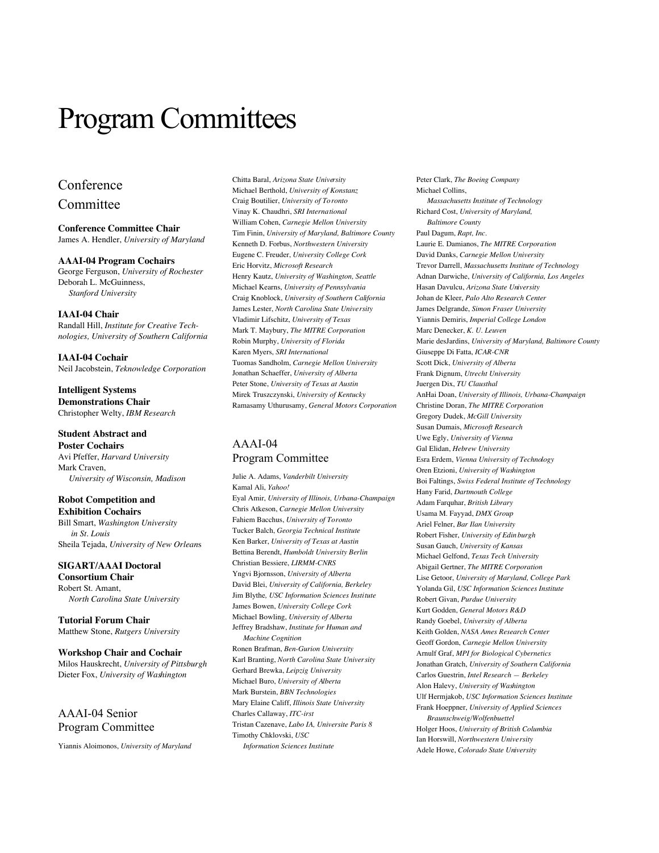# Program Committees

## Conference Committee

**Conference Committee Chair** James A. Hendler, *University of Maryland*

**AAAI-04 Program Cochairs** George Ferguson, *University of Rochester* Deborah L. McGuinness, *Stanford University*

**IAAI-04 Chair** Randall Hill, *Institute for Creative Technologies, University of Southern California*

**IAAI-04 Cochair** Neil Jacobstein, *Teknowledge Corporation*

**Intelligent Systems Demonstrations Chair** Christopher Welty, *IBM Research*

## **Student Abstract and**

**Poster Cochairs** Avi Pfeffer, *Harvard University* Mark Craven, *University of Wisconsin, Madison*

**Robot Competition and Exhibition Cochairs** Bill Smart, *Washington University in St. Louis*

Sheila Tejada, *University of New Orlean*s

**SIGART/AAAI Doctoral Consortium Chair** Robert St. Amant, *North Carolina State University*

**Tutorial Forum Chair** Matthew Stone, *Rutgers University*

**Workshop Chair and Cochair** Milos Hauskrecht, *University of Pittsburgh* Dieter Fox, *University of Washington*

## AAAI-04 Senior Program Committee

Yiannis Aloimonos, *University of Maryland*

Chitta Baral, *Arizona State University* Michael Berthold, *University of Konstanz* Craig Boutilier, *University of Toronto* Vinay K. Chaudhri, *SRI International* William Cohen, *Carnegie Mellon University* Tim Finin, *University of Maryland, Baltimore County* Kenneth D. Forbus, *Northwestern University* Eugene C. Freuder, *University College Cork* Eric Horvitz, *Microsoft Research* Henry Kautz, *University of Washington, Seattle* Michael Kearns, *University of Pennsylvania* Craig Knoblock, *University of Southern California* James Lester, *North Carolina State University* Vladimir Lifschitz, *University of Texas* Mark T. Maybury, *The MITRE Corporation* Robin Murphy, *University of Florida* Karen Myers, *SRI International* Tuomas Sandholm, *Carnegie Mellon University* Jonathan Schaeffer, *University of Alberta* Peter Stone, *University of Texas at Austin* Mirek Truszczynski, *University of Kentucky* Ramasamy Uthurusamy, *General Motors Corporation*

## AAAI-04 Program Committee

Julie A. Adams, *Vanderbilt University* Kamal Ali, *Yahoo!* Eyal Amir, *University of Illinois, Urbana-Champaign* Chris Atkeson, *Carnegie Mellon University* Fahiem Bacchus, *University of Toronto* Tucker Balch, *Georgia Technical Institute* Ken Barker, *University of Texas at Austin* Bettina Berendt, *Humboldt University Berlin* Christian Bessiere, *LIRMM-CNRS* Yngvi Bjornsson, *University of Alberta* David Blei, *University of California, Berkeley* Jim Blythe*, USC Information Sciences Institute* James Bowen, *University College Cork* Michael Bowling, *University of Alberta* Jeffrey Bradshaw, *Institute for Human and Machine Cognition* Ronen Brafman, *Ben-Gurion University* Karl Branting, *North Carolina State University* Gerhard Brewka, *Leipzig University* Michael Buro, *University of Alberta*

Mark Burstein, *BBN Technologies* Mary Elaine Califf, *Illinois State University* Charles Callaway, *ITC-irst* Tristan Cazenave, *Labo IA, Universite Paris 8* Timothy Chklovski, *USC*

*Information Sciences Institute*

Peter Clark, *The Boeing Company* Michael Collins, *Massachusetts Institute of Technology* Richard Cost, *University of Maryland, Baltimore County* Paul Dagum, *Rapt, Inc*. Laurie E. Damianos, *The MITRE Corporation* David Danks, *Carnegie Mellon University* Trevor Darrell, *Massachusetts Institute of Technology* Adnan Darwiche, *University of California, Los Angeles* Hasan Davulcu, *Arizona State University* Johan de Kleer, *Palo Alto Research Center* James Delgrande, *Simon Fraser University* Yiannis Demiris, *Imperial College London* Marc Denecker, *K. U. Leuven* Marie desJardins, *University of Maryland, Baltimore County* Giuseppe Di Fatta, *ICAR-CNR* Scott Dick, *University of Alberta* Frank Dignum, *Utrecht University* Juergen Dix, *TU Clausthal* AnHai Doan, *University of Illinois, Urbana-Champaign* Christine Doran, *The MITRE Corporation* Gregory Dudek, *McGill University* Susan Dumais, *Microsoft Research* Uwe Egly, *University of Vienna* Gal Elidan, *Hebrew University* Esra Erdem, *Vienna University of Technology* Oren Etzioni, *University of Washington* Boi Faltings, *Swiss Federal Institute of Technology* Hany Farid, *Dartmouth College* Adam Farquhar, *British Library* Usama M. Fayyad, *DMX Group* Ariel Felner, *Bar Ilan University* Robert Fisher, *University of Edinburgh* Susan Gauch, *University of Kansas* Michael Gelfond, *Texas Tech University* Abigail Gertner, *The MITRE Corporation* Lise Getoor, *University of Maryland, College Park* Yolanda Gil, *USC Information Sciences Institute* Robert Givan, *Purdue University* Kurt Godden, *General Motors R&D* Randy Goebel, *University of Alberta* Keith Golden, *NASA Ames Research Center* Geoff Gordon, *Carnegie Mellon University* Arnulf Graf, *MPI for Biological Cybernetics* Jonathan Gratch, *University of Southern California* Carlos Guestrin, *Intel Research — Berkeley* Alon Halevy, *University of Washington* Ulf Hermjakob, *USC Information Sciences Institute* Frank Hoeppner, *University of Applied Sciences Braunschweig/Wolfenbuettel* Holger Hoos, *University of British Columbia* Ian Horswill, *Northwestern University* Adele Howe, *Colorado State University*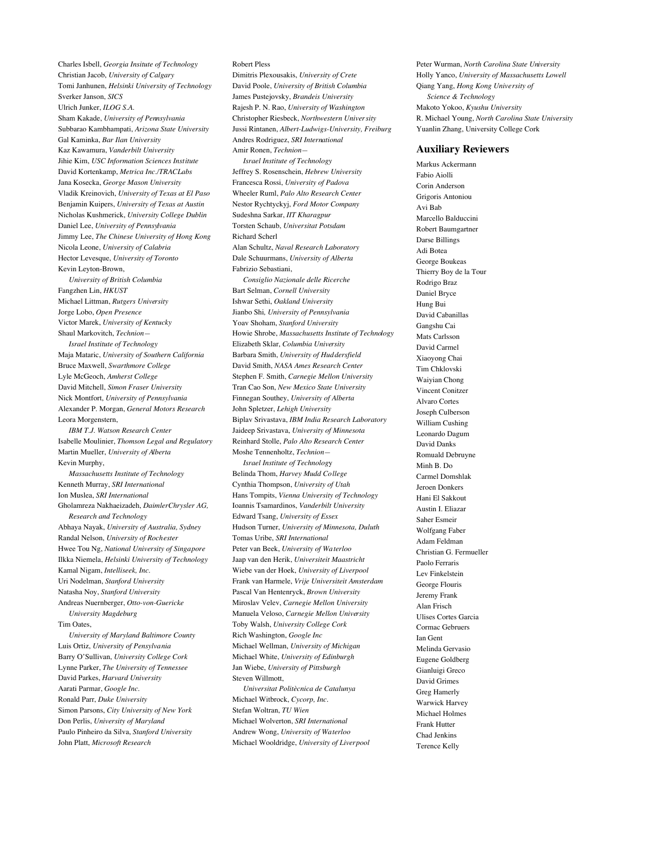Charles Isbell, *Georgia Insitute of Technology* Christian Jacob, *University of Calgary* Tomi Janhunen, *Helsinki University of Technology* Sverker Janson, *SICS* Ulrich Junker, *ILOG S.A.* Sham Kakade, *University of Pennsylvania* Subbarao Kambhampati, *Arizona State University* Gal Kaminka, *Bar Ilan University* Kaz Kawamura, *Vanderbilt University* Jihie Kim, *USC Information Sciences Institute* David Kortenkamp, *Metrica Inc./TRACLabs* Jana Kosecka, *George Mason University* Vladik Kreinovich, *University of Texas at El Paso* Benjamin Kuipers, *University of Texas at Austin* Nicholas Kushmerick, *University College Dublin* Daniel Lee, *University of Pennsylvania* Jimmy Lee, *The Chinese University of Hong Kong* Nicola Leone, *University of Calabria* Hector Levesque, *University of Toronto* Kevin Leyton-Brown, *University of British Columbia*

Fangzhen Lin, *HKUST* Michael Littman, *Rutgers University* Jorge Lobo, *Open Presence* Victor Marek, *University of Kentucky* Shaul Markovitch, *Technion— Israel Institute of Technology* Maja Mataric, *University of Southern California* Bruce Maxwell, *Swarthmore College* Lyle McGeoch, *Amherst College* David Mitchell, *Simon Fraser University* Nick Montfort, *University of Pennsylvania* Alexander P. Morgan, *General Motors Research* Leora Morgenstern,

*IBM T.J. Watson Research Center* Isabelle Moulinier, *Thomson Legal and Regulatory* Martin Mueller, *University of Alberta* Kevin Murphy,

*Massachusetts Institute of Technology* Kenneth Murray, *SRI International* Ion Muslea, *SRI International* Gholamreza Nakhaeizadeh, *DaimlerChrysler AG, Research and Technology* Abhaya Nayak, *University of Australia, Sydney* Randal Nelson, *University of Rochester* Hwee Tou Ng, *National University of Singapore* Ilkka Niemela, *Helsinki University of Technology* Kamal Nigam, *Intelliseek, Inc.* Uri Nodelman, *Stanford University* Natasha Noy, *Stanford University* Andreas Nuernberger, *Otto-von-Guericke University Magdeburg* Tim Oates, *University of Maryland Baltimore County* Luis Ortiz, *University of Pensylvania* Barry O'Sullivan, *University College Cork* Lynne Parker, *The University of Tennessee*

David Parkes, *Harvard University* Aarati Parmar, *Google Inc.* Ronald Parr, *Duke University* Simon Parsons, *City University of New York* Don Perlis, *University of Maryland* Paulo Pinheiro da Silva, *Stanford University* John Platt, *Microsoft Research*

Robert Pless Dimitris Plexousakis, *University of Crete* David Poole, *University of British Columbia* James Pustejovsky, *Brandeis University* Rajesh P. N. Rao, *University of Washington* Christopher Riesbeck, *Northwestern University* Jussi Rintanen, *Albert-Ludwigs-University, Freiburg* Andres Rodriguez, *SRI International* Amir Ronen, *Technion— Israel Institute of Technology* Jeffrey S. Rosenschein, *Hebrew University* Francesca Rossi, *University of Padova* Wheeler Ruml, *Palo Alto Research Center* Nestor Rychtyckyj, *Ford Motor Company* Sudeshna Sarkar, *IIT Kharagpur* Torsten Schaub, *Universitat Potsdam* Richard Scherl Alan Schultz, *Naval Research Laboratory* Dale Schuurmans, *University of Alberta* Fabrizio Sebastiani, *Consiglio Nazionale delle Ricerche* Bart Selman, *Cornell University* Ishwar Sethi, *Oakland University* Jianbo Shi*, University of Pennsylvania* Yoav Shoham, *Stanford University* Howie Shrobe, *Massachusetts Institute of Technology* Elizabeth Sklar, *Columbia University* Barbara Smith, *University of Huddersfield* David Smith, *NASA Ames Research Center* Stephen F. Smith, *Carnegie Mellon University* Tran Cao Son, *New Mexico State University* Finnegan Southey, *University of Alberta* John Spletzer, *Lehigh University* Biplav Srivastava, *IBM India Research Laboratory* Jaideep Srivastava, *University of Minnesota* Reinhard Stolle, *Palo Alto Research Center* Moshe Tennenholtz, *Technion— Israel Institute of Technolog*y Belinda Thom, *Harvey Mudd College* Cynthia Thompson, *University of Utah* Hans Tompits, *Vienna University of Technology*

Ioannis Tsamardinos, *Vanderbilt University* Edward Tsang, *University of Essex* Hudson Turner, *University of Minnesota, Duluth* Tomas Uribe, *SRI International* Peter van Beek, *University of Waterloo* Jaap van den Herik, *Universiteit Maastricht* Wiebe van der Hoek, *University of Liverpool* Frank van Harmele, *Vrije Universiteit Amsterdam* Pascal Van Hentenryck, *Brown University* Miroslav Velev, *Carnegie Mellon University* Manuela Veloso, *Carnegie Mellon University* Toby Walsh, *University College Cork* Rich Washington, *Google Inc* Michael Wellman, *University of Michigan* Michael White, *University of Edinburgh* Jan Wiebe, *University of Pittsburgh* Steven Willmott, *Universitat Politècnica de Catalunya*

Michael Witbrock, *Cycorp, Inc.* Stefan Woltran, *TU Wien* Michael Wolverton, *SRI International* Andrew Wong, *University of Waterloo* Michael Wooldridge, *University of Liverpool*

Peter Wurman, *North Carolina State University* Holly Yanco, *University of Massachusetts Lowell* Qiang Yang, *Hong Kong University of Science & Technology* Makoto Yokoo, *Kyushu University* R. Michael Young, *North Carolina State University* Yuanlin Zhang, University College Cork

#### **Auxiliary Reviewers**

Markus Ackermann Fabio Aiolli Corin Anderson Grigoris Antoniou Avi Bab Marcello Balduccini Robert Baumgartner Darse Billings Adi Botea George Boukeas Thierry Boy de la Tour Rodrigo Braz Daniel Bryce Hung Bui David Cabanillas Gangshu Cai Mats Carlsson David Carmel Xiaoyong Chai Tim Chklovski Waiyian Chong Vincent Conitzer Alvaro Cortes Joseph Culberson William Cushing Leonardo Dagum David Danks Romuald Debruyne Minh B. Do Carmel Domshlak Jeroen Donkers Hani El Sakkout Austin I. Eliazar Saher Esmeir Wolfgang Faber Adam Feldman Christian G. Fermueller Paolo Ferraris Lev Finkelstein George Flouris Jeremy Frank Alan Frisch Ulises Cortes Garcia Cormac Gebruers Ian Gent Melinda Gervasio Eugene Goldberg Gianluigi Greco David Grimes Greg Hamerly Warwick Harvey Michael Holmes Frank Hutter Chad Jenkins Terence Kelly